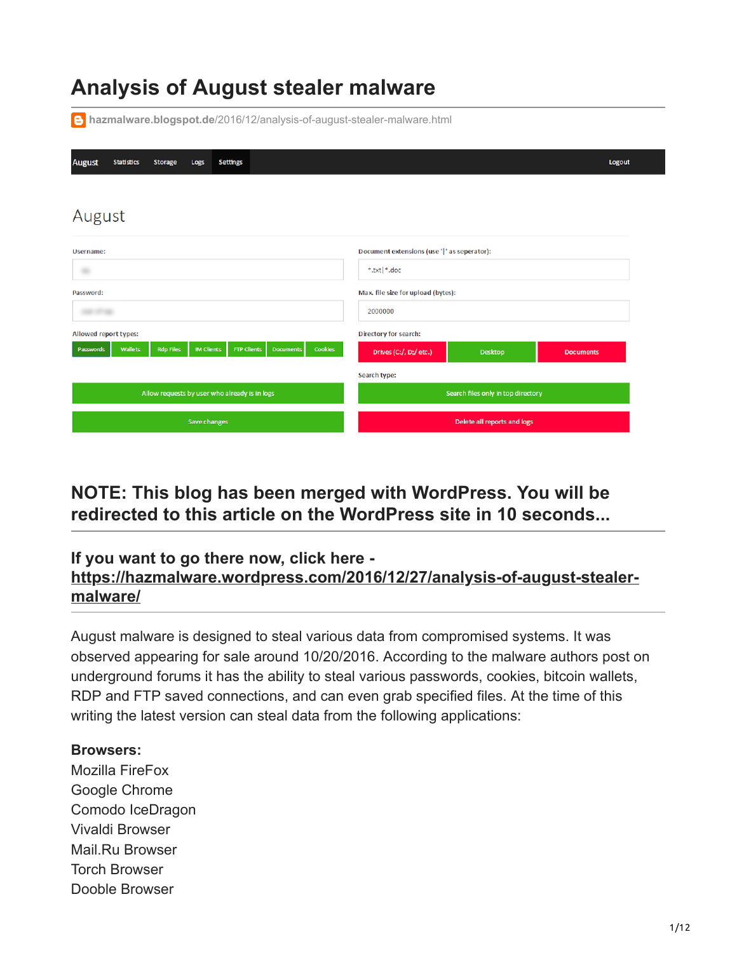# **Analysis of August stealer malware**

**hazmalware.blogspot.de**[/2016/12/analysis-of-august-stealer-malware.html](https://hazmalware.blogspot.de/2016/12/analysis-of-august-stealer-malware.html)

| <b>August</b><br><b>Statistics</b><br><b>Storage</b><br><b>Settings</b><br>Logs                                                  | Logout                                                       |  |  |  |
|----------------------------------------------------------------------------------------------------------------------------------|--------------------------------------------------------------|--|--|--|
|                                                                                                                                  |                                                              |  |  |  |
| August                                                                                                                           |                                                              |  |  |  |
| Username:                                                                                                                        | Document extensions (use ' ' as seperator):                  |  |  |  |
|                                                                                                                                  | *.txt *.doc                                                  |  |  |  |
| Password:                                                                                                                        | Max. file size for upload (bytes):                           |  |  |  |
| $-22.4$                                                                                                                          | 2000000                                                      |  |  |  |
| Allowed report types:                                                                                                            | Directory for search:                                        |  |  |  |
| <b>Wallets</b><br><b>Rdp Files</b><br><b>IM Clients</b><br><b>Cookies</b><br><b>FTP Clients</b><br><b>Documents</b><br>Passwords | Drives (C:/, D;/ etc.)<br><b>Desktop</b><br><b>Documents</b> |  |  |  |
|                                                                                                                                  | Search type:                                                 |  |  |  |
| Allow requests by user who already is in logs                                                                                    | Search files only in top directory                           |  |  |  |
| Save changes                                                                                                                     | Delete all reports and logs                                  |  |  |  |

**NOTE: This blog has been merged with WordPress. You will be redirected to this article on the WordPress site in 10 seconds...**

# **If you want to go there now, click here [https://hazmalware.wordpress.com/2016/12/27/analysis-of-august-stealer](https://hazmalware.wordpress.com/2016/12/27/analysis-of-august-stealer-malware/)malware/**

August malware is designed to steal various data from compromised systems. It was observed appearing for sale around 10/20/2016. According to the malware authors post on underground forums it has the ability to steal various passwords, cookies, bitcoin wallets, RDP and FTP saved connections, and can even grab specified files. At the time of this writing the latest version can steal data from the following applications:

#### **Browsers:**

Mozilla FireFox Google Chrome Comodo IceDragon Vivaldi Browser Mail.Ru Browser Torch Browser Dooble Browser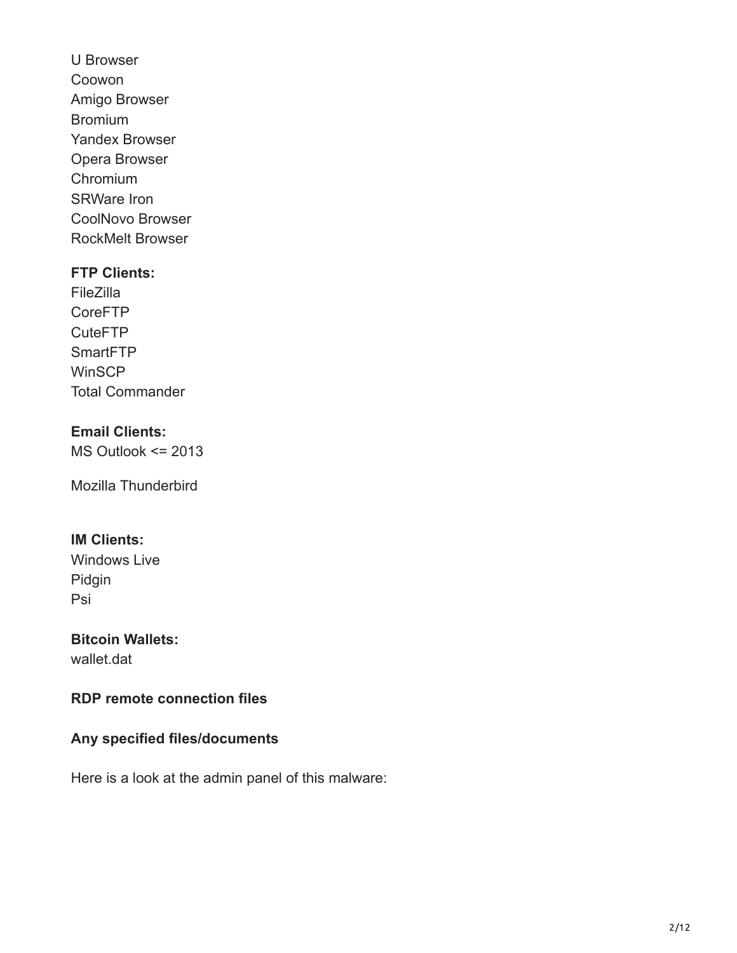U Browser Coowon Amigo Browser Bromium Yandex Browser Opera Browser Chromium SRWare Iron CoolNovo Browser RockMelt Browser

#### **FTP Clients:**

FileZilla CoreFTP CuteFTP **SmartFTP WinSCP** Total Commander

# **Email Clients:**

MS Outlook <= 2013

Mozilla Thunderbird

# **IM Clients:**

Windows Live Pidgin Psi

# **Bitcoin Wallets:**

wallet.dat

# **RDP remote connection files**

# **Any specified files/documents**

Here is a look at the admin panel of this malware: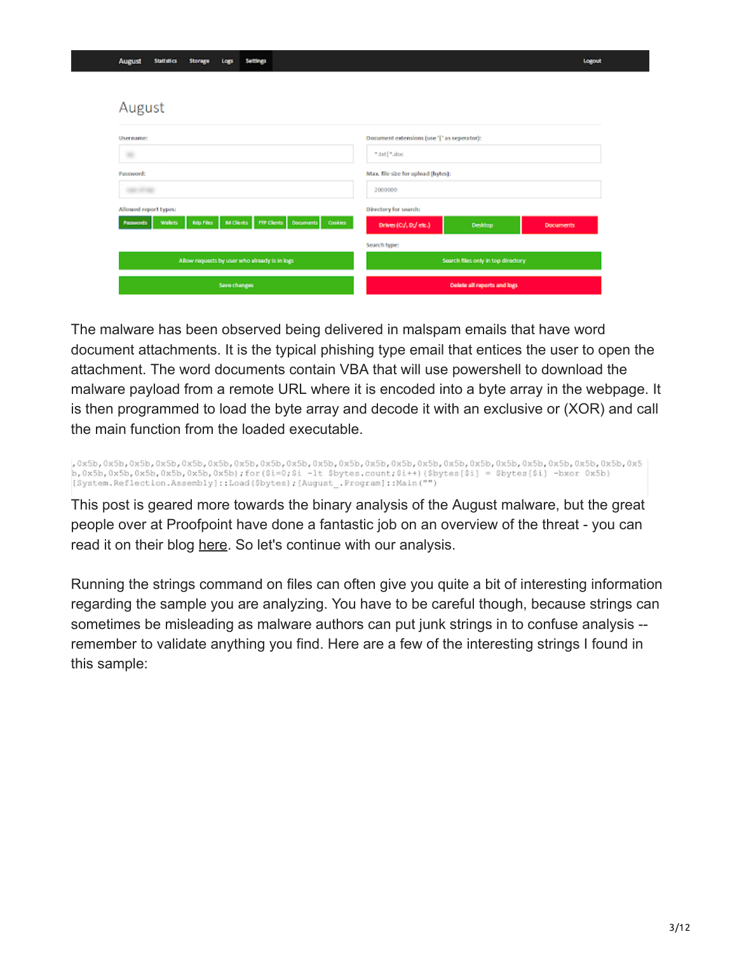#### August

| <b>Username:</b>                                                                                                                | Document extensions (use '  ' as seperator):          |  |  |  |
|---------------------------------------------------------------------------------------------------------------------------------|-------------------------------------------------------|--|--|--|
| $\equiv$                                                                                                                        | *.txt  *.doc                                          |  |  |  |
| Password:                                                                                                                       | Max. file size for upload (bytes):                    |  |  |  |
| <b>CONTRACTOR</b>                                                                                                               | 2000000                                               |  |  |  |
| Allowed report types:                                                                                                           | Directory for search:                                 |  |  |  |
| <b>Rdp Files</b><br><b>FTP Clients</b><br><b>M Clients</b><br><b>Wallets</b><br><b>Decuments</b><br>Cookies<br><b>Passwords</b> | Drives (C:/, D;/ etc.)<br>Desktop<br><b>Documents</b> |  |  |  |
|                                                                                                                                 | Search type:                                          |  |  |  |
| Allow requests by user who already is in logs                                                                                   | Search files only in top directory                    |  |  |  |
| Save changes                                                                                                                    | Delete all reports and logs                           |  |  |  |

The malware has been observed being delivered in malspam emails that have word document attachments. It is the typical phishing type email that entices the user to open the attachment. The word documents contain VBA that will use powershell to download the malware payload from a remote URL where it is encoded into a byte array in the webpage. It is then programmed to load the byte array and decode it with an exclusive or (XOR) and call the main function from the loaded executable.

b, 0x5b, 0x5b, 0x5b, 0x5b, 0x5b, 0x5b); for (\$i=0; \$i -1t \$bytes.count; \$i++) (\$bytes [\$i] = \$bytes [\$i] -bxor 0x5b) [System.Reflection.Assembly]::Load(\$bytes); [August .Program]::Main("")

This post is geared more towards the binary analysis of the August malware, but the great people over at Proofpoint have done a fantastic job on an overview of the threat - you can read it on their blog [here](https://www.proofpoint.com/us/threat-insight/post/august-in-december-new-information-stealer-hits-the-scene). So let's continue with our analysis.

Running the strings command on files can often give you quite a bit of interesting information regarding the sample you are analyzing. You have to be careful though, because strings can sometimes be misleading as malware authors can put junk strings in to confuse analysis - remember to validate anything you find. Here are a few of the interesting strings I found in this sample: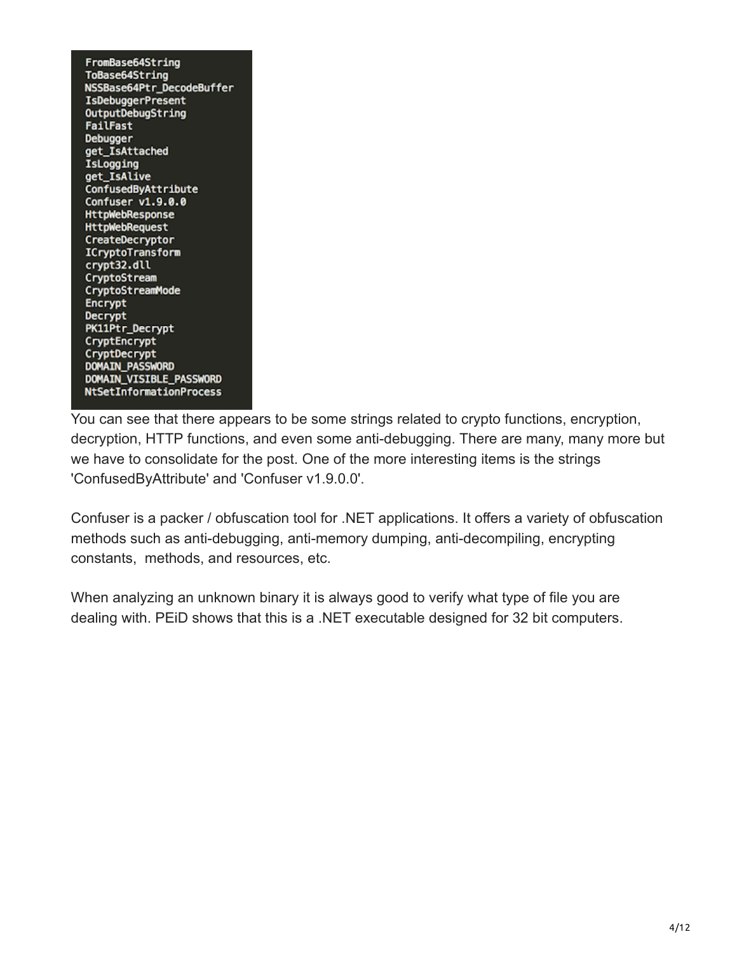FromBase64String ToBase64String NSSBase64Ptr\_DecodeBuffer **IsDebuggerPresent** OutputDebugString FailFast **Debugger** get\_IsAttached IsLogging get\_IsAlive ConfusedByAttribute Confuser v1.9.0.0 **HttpWebResponse HttpWebRequest** CreateDecryptor ICryptoTransform crypt32.dll CryptoStream CryptoStreamMode Encrypt **Decrypt** PK11Ptr\_Decrypt CryptEncrypt CryptDecrypt **DOMAIN PASSWORD** DOMAIN\_VISIBLE\_PASSWORD NtSetInformationProcess

You can see that there appears to be some strings related to crypto functions, encryption, decryption, HTTP functions, and even some anti-debugging. There are many, many more but we have to consolidate for the post. One of the more interesting items is the strings 'ConfusedByAttribute' and 'Confuser v1.9.0.0'.

Confuser is a packer / obfuscation tool for .NET applications. It offers a variety of obfuscation methods such as anti-debugging, anti-memory dumping, anti-decompiling, encrypting constants, methods, and resources, etc.

When analyzing an unknown binary it is always good to verify what type of file you are dealing with. PEiD shows that this is a .NET executable designed for 32 bit computers.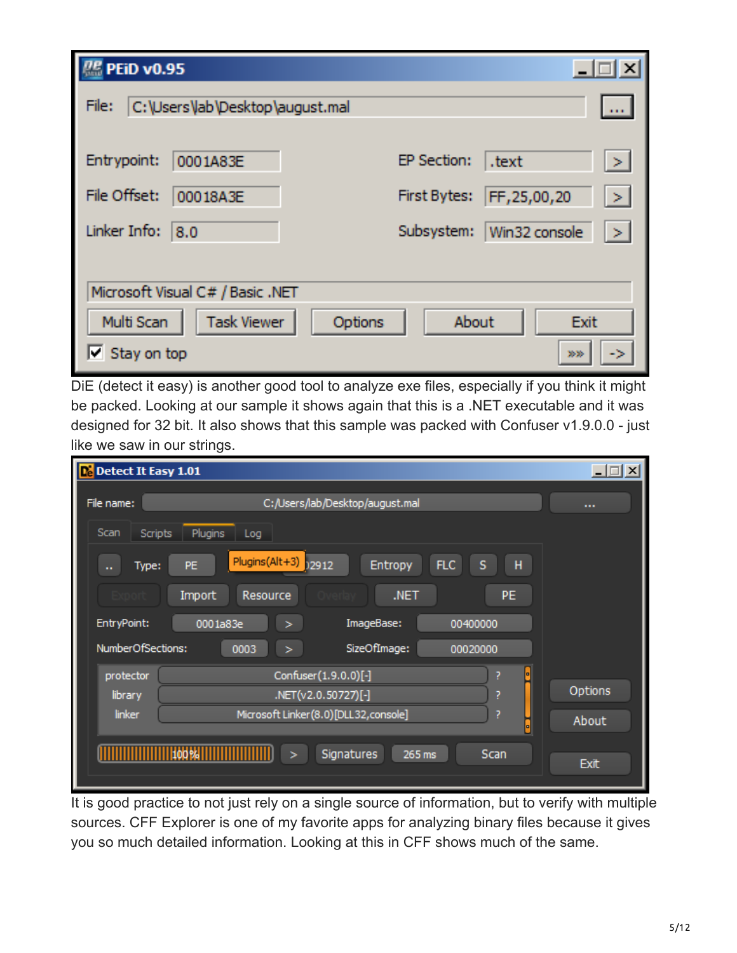| <b>PR</b> PEID v0.95 |                                  | $\times$                                               |
|----------------------|----------------------------------|--------------------------------------------------------|
| File:                | C:\Users\lab\Desktop\august.mal  | <b>DOM:</b>                                            |
|                      |                                  |                                                        |
| Entrypoint:          | 0001A83E                         | EP Section:<br>.text<br>-26                            |
| File Offset:         | 00018A3E                         | FF, 25,00, 20<br><b>First Bytes:</b><br>$\mathbb{R}^n$ |
| Linker Info:         | 8.0                              | Subsystem:<br>Win32 console<br>$\sim$                  |
|                      |                                  |                                                        |
|                      | Microsoft Visual C# / Basic .NET |                                                        |
| Multi Scan           | <b>Task Viewer</b><br>Options    | About<br>Exit                                          |
| $\Box$ Stay on top   |                                  | 20.36                                                  |

DiE (detect it easy) is another good tool to analyze exe files, especially if you think it might be packed. Looking at our sample it shows again that this is a .NET executable and it was designed for 32 bit. It also shows that this sample was packed with Confuser v1.9.0.0 - just like we saw in our strings.

| De Detect It Easy 1.01 |                                                                  | $\Box$      |
|------------------------|------------------------------------------------------------------|-------------|
| File name:             | C:/Users/lab/Desktop/august.mal                                  | $\cdots$    |
| Scan<br>Scripts        | Plugins<br>Log                                                   |             |
| Type:<br>н.            | Plugins(Alt+3)<br>)2912<br>н<br><b>FLC</b><br>Entropy<br>S<br>PE |             |
|                        | PE.<br>Import<br>Resource<br>.NET                                |             |
| EntryPoint:            | ImageBase:<br>0001a83e<br>00400000<br>>                          |             |
| NumberOfSections:      | SizeOfImage:<br>0003<br>00020000<br>$\geq$                       |             |
| protector              | Confuser(1.9.0.0)[-]<br>7<br>미                                   |             |
| library                | .NET(v2.0.50727)[-]<br>7                                         | Options     |
| <b>linker</b>          | Microsoft Linker(8.0)[DLL32,console]<br>7<br>п                   | About       |
|                        | 100%<br>Signatures<br>Scan<br>265 ms<br>⋗                        | <b>Exit</b> |

It is good practice to not just rely on a single source of information, but to verify with multiple sources. CFF Explorer is one of my favorite apps for analyzing binary files because it gives you so much detailed information. Looking at this in CFF shows much of the same.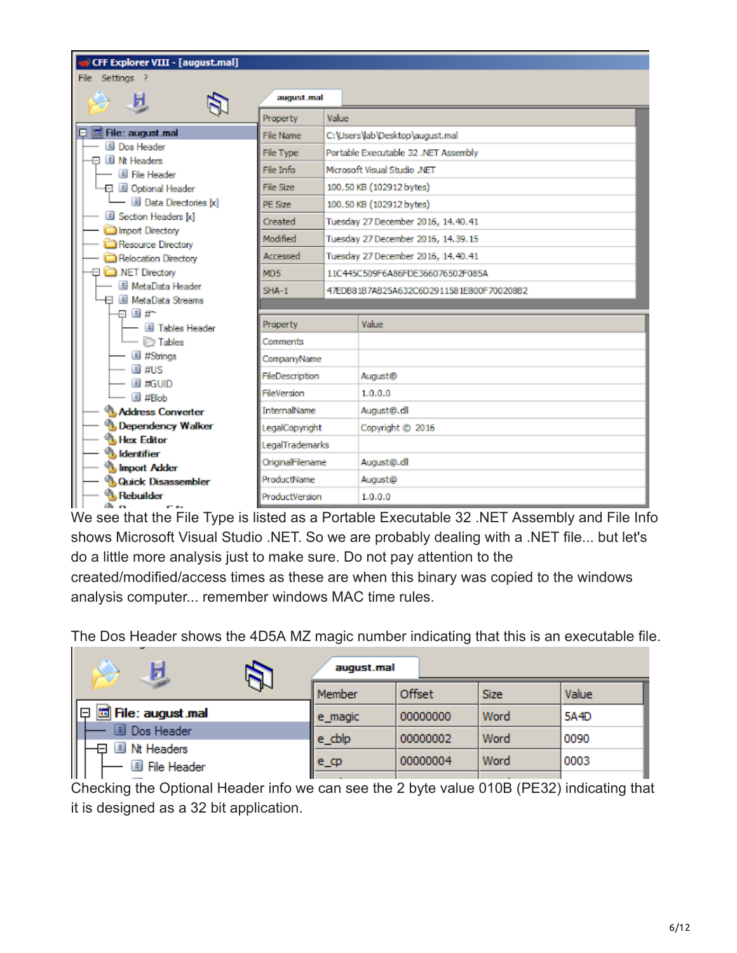| CFF Explorer VIII - [august.mal]                       |                  |       |                                                                        |  |  |  |
|--------------------------------------------------------|------------------|-------|------------------------------------------------------------------------|--|--|--|
| File Settings ?                                        |                  |       |                                                                        |  |  |  |
| и                                                      | august.mal       |       |                                                                        |  |  |  |
|                                                        | Property         | Value |                                                                        |  |  |  |
| $\Box$ $\Box$ File: august mal                         | <b>File Name</b> |       | C:\Users\lab\Desktop\august.mal                                        |  |  |  |
| <b>Dos Header</b><br>Il Nt Headers<br>⊟                | <b>File Type</b> |       | Portable Executable 32 .NET Assembly                                   |  |  |  |
| File Header                                            | File Info        |       | Microsoft Visual Studio .NET                                           |  |  |  |
| 日 Ill Optional Header                                  | File Size        |       | 100.50 KB (102912 bytes)                                               |  |  |  |
| — 国 Data Directories [x]                               | PE Size          |       | 100.50 KB (102912 bytes)                                               |  |  |  |
| Section Headers [x]                                    | Created          |       | Tuesday 27 December 2016, 14.40.41                                     |  |  |  |
| Import Directory<br>Resource Directory                 | Modified         |       | Tuesday 27 December 2016, 14.39.15                                     |  |  |  |
| Relocation Directory                                   | Accessed         |       | Tuesday 27 December 2016, 14.40.41<br>11C445C509E6A86EDE366076502E085A |  |  |  |
| NET Directory                                          | MD <sub>5</sub>  |       |                                                                        |  |  |  |
| MetaData Header                                        | $SHA-1$          |       | 47EDB81B7AB25A632C6D2911581E800F700208B2                               |  |  |  |
| <b>El III MetaData Streams</b>                         |                  |       |                                                                        |  |  |  |
| $\boxminus$ $\parallel$ #~<br>- <b>I</b> Tables Header | Property         |       | Value                                                                  |  |  |  |
| - <b><i>D</i></b> Tables                               | Comments         |       |                                                                        |  |  |  |
| <b>El #Strings</b>                                     | CompanyName      |       |                                                                        |  |  |  |
| $\blacksquare$ #US                                     | FileDescription  |       | August@                                                                |  |  |  |
| <b>EI #GUID</b><br>$\blacksquare$ #Blob                | FileVersion      |       | 1.0.0.0                                                                |  |  |  |
| <b>Address Converter</b>                               | InternalName     |       | August@.dll                                                            |  |  |  |
| <b>Dependency Walker</b>                               | egalCopyright    |       | Copyright @ 2016                                                       |  |  |  |
| <b>Hex Editor</b>                                      | LegalTrademarks  |       |                                                                        |  |  |  |
| <b>Identifier</b><br>Import Adder                      | OriginalFilename |       | August@.dll                                                            |  |  |  |
| <b>Quick Disassembler</b>                              | ProductName      |       | August@                                                                |  |  |  |
| Rebuilder<br>$\mathbf{r}$<br>m ta                      | ProductVersion   |       | 1.0.0.0                                                                |  |  |  |

We see that the File Type is listed as a Portable Executable 32 .NET Assembly and File Info shows Microsoft Visual Studio .NET. So we are probably dealing with a .NET file... but let's do a little more analysis just to make sure. Do not pay attention to the created/modified/access times as these are when this binary was copied to the windows analysis computer... remember windows MAC time rules.

The Dos Header shows the 4D5A MZ magic number indicating that this is an executable file.

|                                                         | august.mal |          |             |       |  |  |  |
|---------------------------------------------------------|------------|----------|-------------|-------|--|--|--|
| JN                                                      | Member     | Offset   | <b>Size</b> | Value |  |  |  |
| 圖 File: august.mal<br>18                                | e_magic    | 00000000 | Word        | 5A4D  |  |  |  |
| Dos Header                                              | e_cblp     | 00000002 | Word        | 0090  |  |  |  |
| E<br>Nt Headers<br><b>File Header</b><br>$\blacksquare$ | e_cp       | 00000004 | Word        | 0003  |  |  |  |

Checking the Optional Header info we can see the 2 byte value 010B (PE32) indicating that it is designed as a 32 bit application.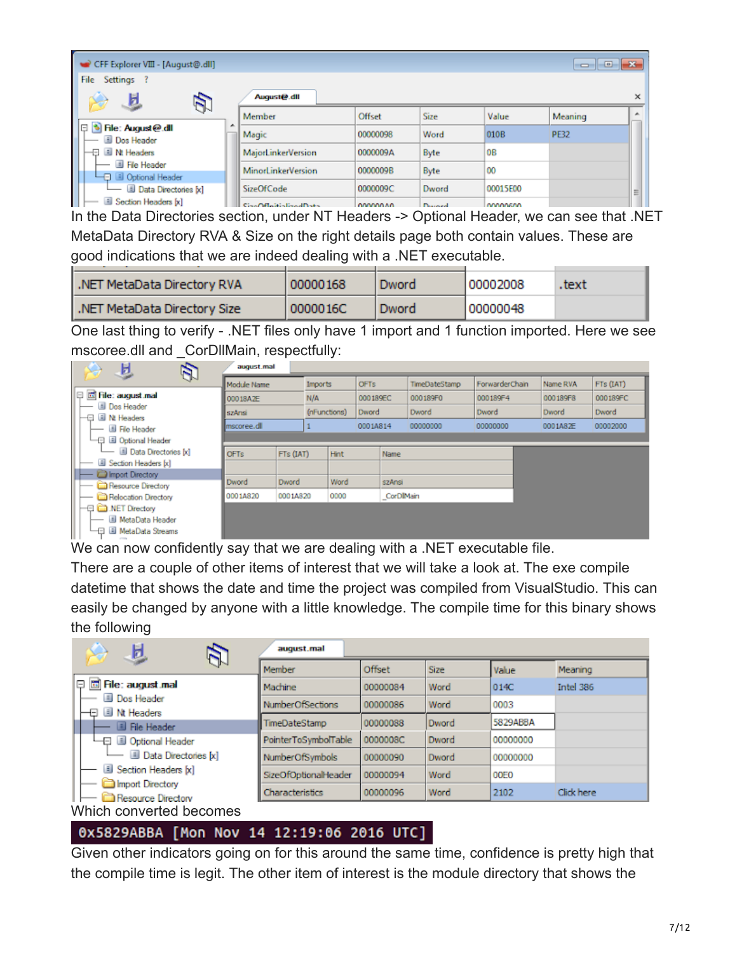| CFF Explorer VIII - [August@.dll]           |   |                           |                |        |           | -0<br>$\Box$ | $-x$ |
|---------------------------------------------|---|---------------------------|----------------|--------|-----------|--------------|------|
| File<br>Settings                            |   |                           |                |        |           |              |      |
| g.                                          |   | August@.dll               |                |        |           |              | ×    |
|                                             |   | Member                    | Offset         | Size   | Value     | Meaning      | A.   |
| 旧<br>File: August@.dll<br><b>Dos Header</b> | ۰ | Magic                     | 00000098       | Word   | 010B      | <b>PE32</b>  |      |
| 日 国 Nt Headers                              |   | MajorLinkerVersion        | 0000009A       | Byte   | <b>OB</b> |              |      |
| File Header<br>└ <b>□</b> Optional Header   |   | <b>MinorLinkerVersion</b> | 0000009B       | Byte   | 00        |              |      |
| Data Directories [x]                        |   | <b>SizeOfCode</b>         | 0000009C       | Dword  | 00015E00  |              | Ξ    |
| Section Headers [x]                         |   | CingOfficitieding dData   | <b>DOMODAD</b> | Donald | MADAGAD   |              |      |

In the Data Directories section, under NT Headers -> Optional Header, we can see that .NET MetaData Directory RVA & Size on the right details page both contain values. These are good indications that we are indeed dealing with a .NET executable.

| I.NET MetaData Directory RVA | 00000168 | Dword | 100002008 | .text |
|------------------------------|----------|-------|-----------|-------|
| NET MetaData Directory Size  | 0000016C | Dword | 00000048  |       |

One last thing to verify - .NET files only have 1 import and 1 function imported. Here we see mscoree.dll and \_CorDllMain, respectfully:

| 旦<br>Đ                              | august.mal  |           |              |                        |          |           |               |                |          |           |
|-------------------------------------|-------------|-----------|--------------|------------------------|----------|-----------|---------------|----------------|----------|-----------|
|                                     | Module Name |           |              | <b>OFTs</b><br>Imports |          |           | TimeDateStamp | ForwarderChain | Name RVA | FTs (IAT) |
| 日 园 File: august.mal                | 00018A2E    |           | N/A          |                        | 000189EC |           | 000189F0      | 000189F4       | 000189F8 | 000189FC  |
| <b>Dos Header</b><br>├ 国 Nt Headers | szAnsi      |           | (nFunctions) |                        | Dword    |           | Dword         | Dword          | Dword    | Dword     |
| File Header                         | mscoree.dll |           |              |                        | 0001A814 |           | 00000000      | 00000000       | 0001A82E | 00002000  |
| └─□ <i>A</i> Optional Header        |             |           |              |                        |          |           |               |                |          |           |
| Data Directories [x]                | <b>OFTs</b> | FTs (IAT) |              | Hint                   |          | Name      |               |                |          |           |
| Section Headers [x]                 |             |           |              |                        |          |           |               |                |          |           |
| <b>Import Directory</b>             | Dword       | Dword     |              | Word                   |          | szAnsi    |               |                |          |           |
| Resource Directory                  |             |           |              |                        |          |           |               |                |          |           |
| Relocation Directory                | 0001A820    | 0001A820  |              | 0000                   |          | CorDIMain |               |                |          |           |
| NET Directory                       |             |           |              |                        |          |           |               |                |          |           |
| <b>Ill</b> MetaData Header          |             |           |              |                        |          |           |               |                |          |           |
| MetaData Streams<br>∟⊟              |             |           |              |                        |          |           |               |                |          |           |

We can now confidently say that we are dealing with a .NET executable file.

There are a couple of other items of interest that we will take a look at. The exe compile datetime that shows the date and time the project was compiled from VisualStudio. This can easily be changed by anyone with a little knowledge. The compile time for this binary shows the following

| 圓                                      | august.mal                  |          |             |                  |            |  |  |  |
|----------------------------------------|-----------------------------|----------|-------------|------------------|------------|--|--|--|
|                                        | Member                      | Offset   | <b>Size</b> | Value            | Meaning    |  |  |  |
| e<br>园 File: august mal                | Machine                     | 00000084 | Word        | 014C             | Intel 386  |  |  |  |
| <b>Ill</b> Dos Header<br>Il Nt Headers | <b>NumberOfSections</b>     | 00000086 | Word        | 0003             |            |  |  |  |
| Ð<br>File Header                       | TimeDateStamp               | 00000088 | Dword       | 5829ABBA         |            |  |  |  |
| -□ ill Optional Header                 | PointerToSymbolTable        | 0000008C | Dword       | 00000000         |            |  |  |  |
| Data Directories [x]                   | NumberOfSymbols             | 00000090 | Dword       | 00000000         |            |  |  |  |
| Section Headers [x]                    | <b>SizeOfOptionalHeader</b> | 00000094 | Word        | 00E <sub>0</sub> |            |  |  |  |
| Import Directory<br>Resource Directory | Characteristics             | 00000096 | Word        | 2102             | Click here |  |  |  |
| Which converted becomes                |                             |          |             |                  |            |  |  |  |

# 0x5829ABBA [Mon Nov 14 12:19:06 2016 UTC]

Given other indicators going on for this around the same time, confidence is pretty high that the compile time is legit. The other item of interest is the module directory that shows the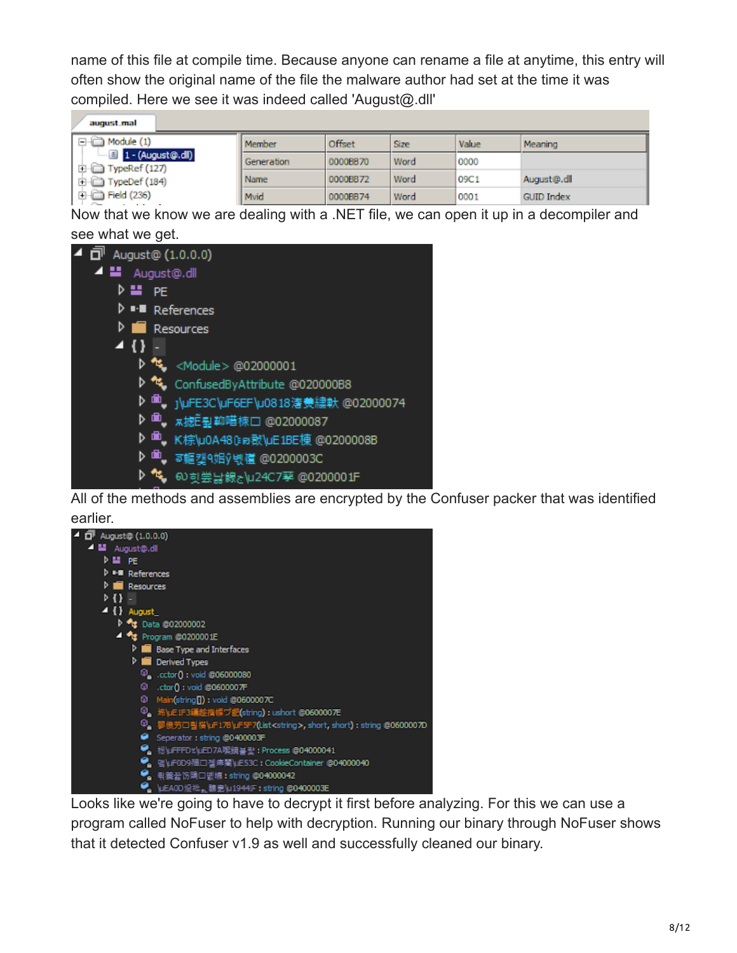name of this file at compile time. Because anyone can rename a file at anytime, this entry will often show the original name of the file the malware author had set at the time it was compiled. Here we see it was indeed called 'August@.dll'

| august mal                                              |            |          |      |       |                   |
|---------------------------------------------------------|------------|----------|------|-------|-------------------|
| Module (1)                                              | Member     | Offset   | Size | Value | Meaning           |
| $\blacksquare$ 1 - (August@.dl)<br>$\Box$ TypeRef (127) | Generation | 0000BB70 | Word | 0000  |                   |
| TypeDef (184)<br>E-C)                                   | Name       | 0000BB72 | Word | 09C1  | August@.dll       |
| $H =$ Field (236)<br>.                                  | Mvid       | 0000BB74 | Word | 0001  | <b>GUID Index</b> |

Now that we know we are dealing with a .NET file, we can open it up in a decompiler and see what we get.



All of the methods and assemblies are encrypted by the Confuser packer that was identified earlier.



Looks like we're going to have to decrypt it first before analyzing. For this we can use a program called NoFuser to help with decryption. Running our binary through NoFuser shows that it detected Confuser v1.9 as well and successfully cleaned our binary.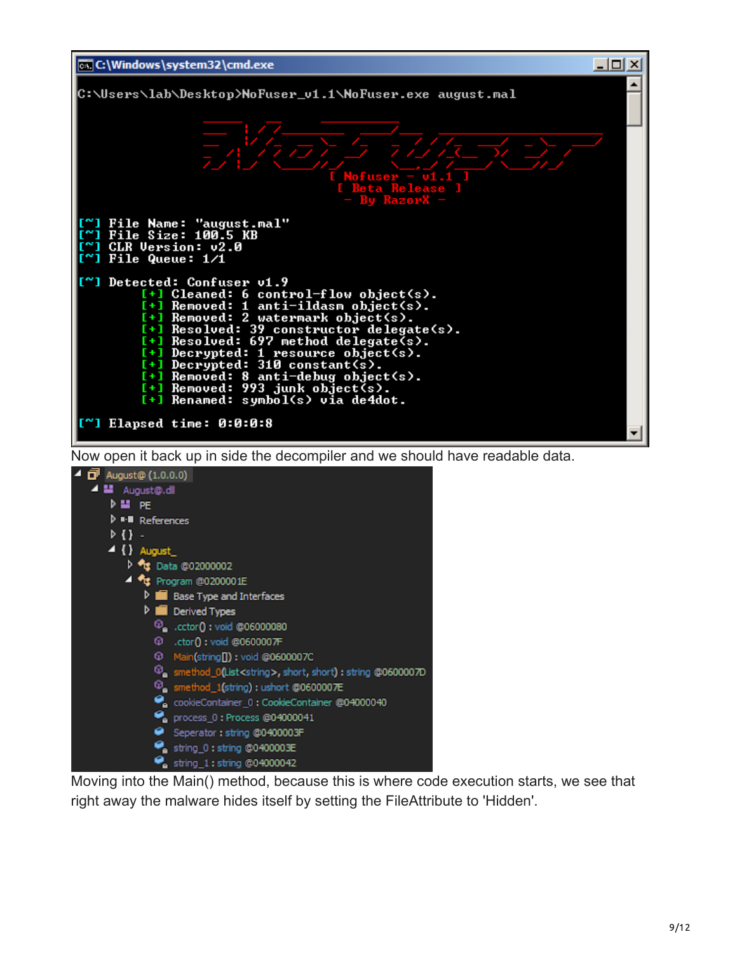

Now open it back up in side the decompiler and we should have readable data.



Moving into the Main() method, because this is where code execution starts, we see that right away the malware hides itself by setting the FileAttribute to 'Hidden'.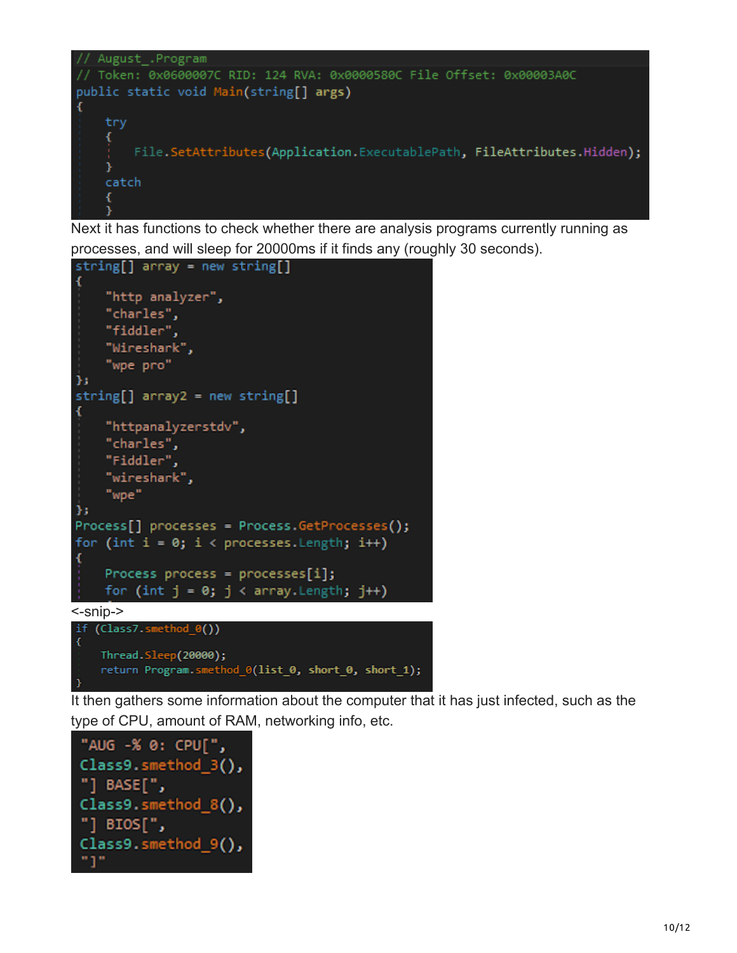

Next it has functions to check whether there are analysis programs currently running as processes, and will sleep for 20000ms if it finds any (roughly 30 seconds).



It then gathers some information about the computer that it has just infected, such as the type of CPU, amount of RAM, networking info, etc.

```
"AUG -% 0: CPU[",
Class9.smethod_3(),
"] BASE[",
Class9.smethod_8(),
"] BIOS[",
Class9.smethod_9(),
"נ"
```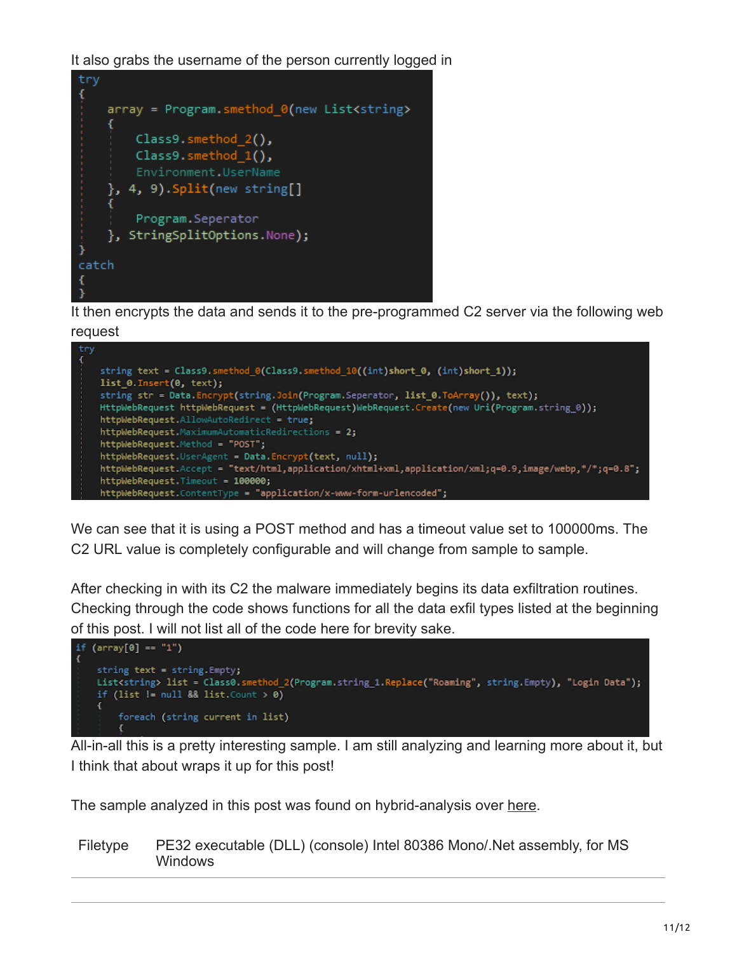It also grabs the username of the person currently logged in



It then encrypts the data and sends it to the pre-programmed C2 server via the following web request



We can see that it is using a POST method and has a timeout value set to 100000ms. The C2 URL value is completely configurable and will change from sample to sample.

After checking in with its C2 the malware immediately begins its data exfiltration routines. Checking through the code shows functions for all the data exfil types listed at the beginning of this post. I will not list all of the code here for brevity sake.



All-in-all this is a pretty interesting sample. I am still analyzing and learning more about it, but I think that about wraps it up for this post!

The sample analyzed in this post was found on hybrid-analysis over [here.](https://www.hybrid-analysis.com/sample/c725e62b5aa3dfbf41b979bb55b04d43fa7042ca34cb914892872267e79de8d1?environmentId=100&lang=en)

Filetype PE32 executable (DLL) (console) Intel 80386 Mono/.Net assembly, for MS **Windows**